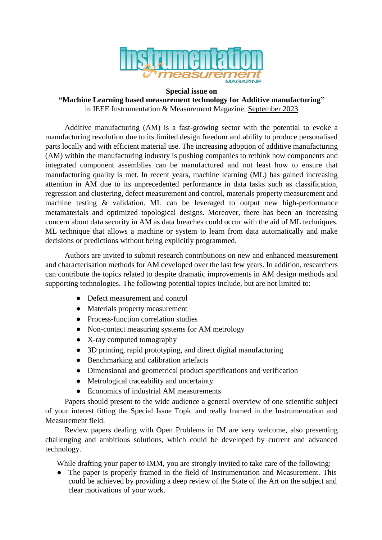

## **Special issue on**

## **"Machine Learning based measurement technology for Additive manufacturing"** in IEEE Instrumentation & Measurement Magazine, September 2023

Additive manufacturing (AM) is a fast-growing sector with the potential to evoke a manufacturing revolution due to its limited design freedom and ability to produce personalised parts locally and with efficient material use. The increasing adoption of additive manufacturing (AM) within the manufacturing industry is pushing companies to rethink how components and integrated component assemblies can be manufactured and not least how to ensure that manufacturing quality is met. In recent years, machine learning (ML) has gained increasing attention in AM due to its unprecedented performance in data tasks such as classification, regression and clustering, defect measurement and control, materials property measurement and machine testing & validation. ML can be leveraged to output new high-performance metamaterials and optimized topological designs. Moreover, there has been an increasing concern about data security in AM as data breaches could occur with the aid of ML techniques. ML technique that allows a machine or system to learn from data automatically and make decisions or predictions without being explicitly programmed.

Authors are invited to submit research contributions on new and enhanced measurement and characterisation methods for AM developed over the last few years. In addition, researchers can contribute the topics related to despite dramatic improvements in AM design methods and supporting technologies. The following potential topics include, but are not limited to:

- Defect measurement and control
- Materials property measurement
- Process-function correlation studies
- Non-contact measuring systems for AM metrology
- X-ray computed tomography
- 3D printing, rapid prototyping, and direct digital manufacturing
- Benchmarking and calibration artefacts
- Dimensional and geometrical product specifications and verification
- Metrological traceability and uncertainty
- Economics of industrial AM measurements

Papers should present to the wide audience a general overview of one scientific subject of your interest fitting the Special Issue Topic and really framed in the Instrumentation and Measurement field.

Review papers dealing with Open Problems in IM are very welcome, also presenting challenging and ambitious solutions, which could be developed by current and advanced technology.

While drafting your paper to IMM, you are strongly invited to take care of the following:

● The paper is properly framed in the field of Instrumentation and Measurement. This could be achieved by providing a deep review of the State of the Art on the subject and clear motivations of your work.